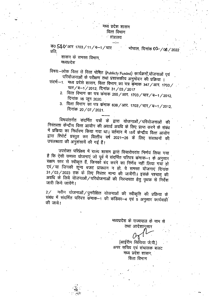#### मध्य प्रदेश शासन वित्त विभाग ग़॑त्रालय

 $\overline{40}$  54 V आर 1703 / 11 / ब-1 / चार भोपाल, दिनांक 02-/05/2022 प्रति.

शासन के समस्त विभाग, मध्यप्रदेश

विषयः-लोक वित्त से वित्त पोषित (Publicly Funded) कार्यक्रमों,योजनाओं एवं परियोजनाओं के परीक्षण तथा प्रशासकीय अनुमोदन की प्रक्रिया ।

- संदर्भ -1. मध्य प्रदेश शासन, वित्त विभाग का पत्र कुमाक 347/आर. 1703/ चार/ब-1/2012, दिनांक 31/03/2017
	- 2. वित्त विभाग का पत्र कंमाक 255/आर. 1703/चार/ब–1/2012, दिनांक 16 जून 2020.
	- 3. वित्त विभाग का पत्र कमाक 638/आर. 1703/चार/ब-1/2012, दिनांक 20/07/2021.

विषयांतर्गत संदर्भित पत्रों के द्वारा योजनाओं / परियोजनाओं की निरंतरता केन्द्रीय वित्त आयोग की अवार्ड अवधि के लिए प्राप्त करने के संबंध में प्रकिया का निर्धारण किया गया था। वर्तमान में 15वें केन्द्रीय वित्त आयोग द्वारा रिपोर्ट प्रस्तुत कर वित्तीय वर्ष 2021–26 के लिए संसाधनों की उपलब्धता की अनुशंसायें की गई हैं।

उपरोक्त परिप्रेक्ष्य में राज्य शासन द्वारा विचारोपरांत निर्णय लिया गया है कि ऐसी समस्त योजनाएं जो पूर्व में संदर्भित परिपत्र कंमाक–1 के अनुसार सक्षम स्तर से स्वीकृत हैं, जिनकों बंद करने का निर्णय नहीं लिया गया हो एवं / या जिनकी शून्य बजट प्रावधान न हो, वे समस्त योजनाएं दिनांक 31/03/2023 तक के लिए निरंतर मान्य की जायेंगी। इसके पश्चात् की अवधि के लिये योजनाओं / परियोजनाओं की निरन्तरता हेतु पृथक से निर्देश जारी किये जायेंगे।

 $2$ ⁄ नवीन योजनाओं ⁄ पुनरीक्षित योजनाओं की स्वीकृति की प्रक्रिया के संबंध में संदर्भित परिपत्र कमाक-1 की कड़िका-4 एवं 5 अनुसार कार्यवाही की जाये।

> मध्यप्रदेश के राज्यपाल के नाम से तथा आदेशानुसार

(आईरीन सिंथिया जे.पी.) अपर सचिव एवं संचालक बजट मध्य प्रदेश शासन, वित्त विभाग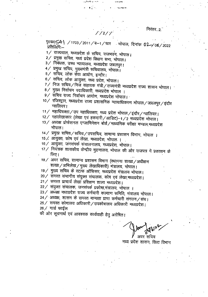#### निरंतर...2

पृ0क054 | /1703/2011/ब-1/चार भोपाल, दिनांक 02-106/2022 प्रतिलिपिः—

1/ राज्यपाल, मध्यप्रदेश के सचिव, राजभवन, भोपाल।

2/ प्रमुख सचिव, मध्यं प्रदेश विधान सभा, भोपाल।

3/ निबंधक, उच्च न्यायालय, मध्यप्रदेश जबलपुर।

4/ प्रमुख सचिव, मुख्यमंत्री सचिवालय, भोपाल।

5/ सचिव, लोक सेवा आयोग, इन्दौर।

6/ सचिव, लोक आयुक्त, मध्य प्रदेश, भोपाल।

7/ निज सचिव/निज सहायक मंत्री/राज्यमंत्री मध्यप्रदेश राज्य शासन भोपाल।

8/ मुख्य निर्वाचन पदाधिकारी, मध्यप्रदेश भोपाल ।

9/ सचिव राज्य निर्वाचन आयोग, मध्यप्रदेश भोपाल।

10 / रजिस्ट्रार, मध्यप्रदेश राज्य प्रशासनिक न्यायाधिकरण भोपाल / जबलपुर / इंदौर ग्वालियर।

11 / महाधिवक्ता / उप महाधिवक्ता, मध्य प्रदेश भोपाल / इंदौर / ग्वालियर।

12/ महालेखाकार (लेखा एवं हकदारी/आडिट)-1/2 मध्यप्रदेश भोपाल।

- 13 / अध्यक्ष प्रोफेशनल एग्जामिनेशन बोर्ड / माध्यमिक परीक्षा मण्डल,मध्यप्रदेश भोपाल।
- 14 / प्रमुख सचिव / सचिव / उपसचिव, सामान्य प्रशासन विभाग, भोपाल ।
- 15 % आयुक्त, कोष एवं लेखा, मध्यप्रदेश, भोपाल ।
- 16 / आयुक्त, जनसंपर्क संचालनालय, मध्यप्रदेश, भोपाल।
- 17 / नियंत्रक शासकीय केन्द्रीय मुद्रणालय, भोपाल की ओर राजपत्र में प्रकाशन के तिए।
- 18 / अवर सचिव, सामान्य प्रशासन विभाग (स्थापना शाखा / अधीक्षण शाखा/अभिलेख/मुख्य लेखाधिकारी) मंत्रालय, भोपाल।
- 19/ मुख्य सचिव के स्टॉफ ऑफिसर, मध्यप्रदेश मंत्रालय भोपाल।
- 20 / समस्त संभागीय संयुक्त संचालक, कोष एवं लेखा,मध्यप्रदेश।
- 21/ समस्त प्राचार्य लेखा प्रशिक्षण शाला मध्यप्रदेश।
- 22/ संयुक्त संचालक, जनसंपर्क प्रकोष्ठ,मंत्रालय, भोपाल ।

23⁄ अध्यक्ष मध्यप्रदेश राज्य कर्मचारी कल्याण समिति, मंत्रालय भोपाल।

24 / अध्यक्ष, शासन के समस्त मान्यता प्राप्त कर्मचारी संगठन / संघ।

25 / समस्त कोषालय अधिकारी / उपकोषालय अधिकारी मध्यप्रदेश।

 $26$  / गार्ड फाईल

की ओर सूचनार्थ एवं आवश्यक कार्यवाही हेतु अग्रेषित।

अवर सचिव मध्य प्रदेश शासन, वित्त विभाग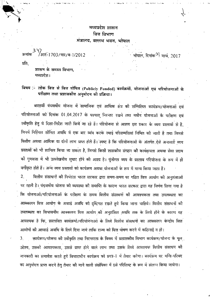# मध्यप्रदेश शासन वित्त विभाग मंत्रालय, वल्लभ भवन, भोपाल

भोपाल, दिनांक<sup>->}</sup> मार्च, 2017

क्रमांक <sup>3 प</sup>7आरं-1703/चार/ब-1/2012

प्रति.

शासन के समस्त विभाग, मध्यप्रदेश ।

# विषय :- लोक वित्त से वित्त पोषित (Publicly Funded) कार्यक्रमों, योजनाओं एवं परियोजनाओं के परीक्षण तथा प्रशासकीय अनुमोदन की प्रक्रिया।

बारहवीं पंचवर्षीय योजना में सामाजिक एवं आर्थिक क्षेत्र को सम्मिलित कार्यक्रम/योजनाओं एवं परियोजनाओं को दिनांक 01.04.2017 के पश्चात् निरन्तर रखने तथा नवीन योजनाओं के परीक्षण एवं स्वीकृति हेतु ये दिशा-निर्देश जारी किये जा रहे हैं। परियोजना से आशय इस प्रकार के व्यय प्रस्तावों से है, जिनमें निश्चित सीमित अवधि में एक बार व्यंय करके स्थाई परिसम्पत्तियां निर्मित को जाती हैं तथा जिनसे वित्तीय अथवा आर्थिक या दोनों लाभ प्राप्त होते हैं। स्पष्ट है कि परियोजनाओं के अंतर्गत ऐसे अनावर्ता व्यय प्रस्तावों को भी शामिल किया जा सकता है, जिनसे किसी शासकीय संगठन की कार्यक्षमता अथवा सेवा प्रदाय की गुणवत्ता में भी उल्लेखनीय सुधार होने की आशा है। पूंजीगत व्यय के प्रस्ताव परियोजना के रूप में ही

वर्गीकृत होते हैं। अन्य व्यय प्रस्तावों को कार्यक्रम अथवा योजनाओं के रूप में मान्य किया जाता हैं। वित्तीय संसाधनों की निर्भरता भारत सरकार द्वारा समय-समय पर गठित वित्त आयोग की अनुशंसाओं 2. पर रहती है। पंचवर्षीय योजना को व्यवस्था की समाप्ति के कारण भारत सरकार द्वारा यह निर्णय लिया गया है कि योजनाओं/परियोजनाओं के परीक्षण के समय वित्तीय संसाधनों की आवश्यकता तथा उपलब्धता का आक्कलन वित्त आयोग के अवार्ड अवधि को दृष्टिगत रखते हुये किया जाना चाहिये। वित्तीय संसाधनों की उपलब्धता का विश्वसनीय आक्कलन वित्त आयोग की अनुशंसित अवधि तक के लिये होने के कारण यह आवश्यक है कि, प्रस्तावित कार्यक्रमों/परियोजनाओं के लिये वित्तीय संसाधनों का आक्कलन केन्द्रोय वित्त आयोगों की आवार्ड अवधि के लिये दिया जाये ताकि राज्य को वित्त पोषण करने में कठिनाई न हो।

कार्यक्रम/योजना की स्वीकृति तथा निरन्तरता के विषय में प्रशासकीय विभाग कार्यक्रम/योजना के मूल उद्देश्य, उसको आवश्यकता, उससे प्राप्त होने वाले लाभ तथा उसके लिये आवश्यक वित्तीय संसाधन की जानकारी का समावेश करते हुये विचाराधीन कार्यक्रम को प्रपत्र-1 में तैयार करेगा। कार्यक्रम पर मन्त्रि-परिषद का अनुमोदन प्राप्त करने हेतु तैयार की जाने वाली संक्षेपिका में इसे परिशिष्ट के रूप में संलग्न किया जायेगा।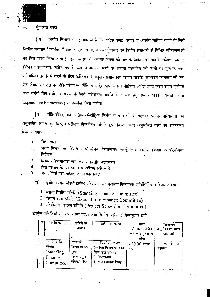

निर्माण विभागों में यह व्यवस्था है कि वार्षिक बजट प्रस्ताव के अंतर्गत सिविल कार्यों के लिये [अ] वित्तीय प्रावधान "कार्यक्रम" अंतर्गत पूंजीगत मद में कराये जाकर उन वित्तीय संसाधनों से विभिन्न परियोजनाओं का वित्त पोषण किया जाता है। इस व्यवस्था के अंतर्गत जनता को मांग के आधार पर मैदानी सर्वेक्षण उपरान्त विभिन्न परियोजनायें, नवीन मद के रूप में अनुदान मांगों के अंतगत प्रस्तावित की जाती हैं। पूंजीगत व्यय सुनियोजित तरीके से करने के लिये कण्डिका 3 अनुसार प्रशासकीय विभाग मापदंड आधारित कार्यक्रम की रूप रेखा तैयार कर उस पर मंत्रि-परिषद का नीतिगत आदेश प्राप्त करेंगे। नीतिगत आदेश प्राप्त करते समय पूंजीगत व्यय संबंधी विचाराधीन कार्यक्रम के लिये परियोजना अवधि के 3 वर्षों हेतु वर्षवार MTEF (Mid Term Expenditure Framework) का उल्लेख किया जायेगा।

मंत्रि-परिषद का नीतिगत/सैद्धांतिक निर्णय प्राप्त करने के पश्चात प्रत्येक परियोजना की [ब] अनुमानित लागत का विस्तृत परोक्षण निम्नांकित समिति द्वारा किया जाकर अनुमानित व्यय का आक्कलन किया जायेगा:-

 $\mathbf{I}$ . विभागाध्यक्ष

भवन निर्माण को स्थिति में परियोजना क्रियान्वयन इंकाई, लोक निर्माण विभाग के परियोजना  $\overline{2}$ . निर्देशक

विभाग/विभागाध्यक्ष कार्यालय के वित्तीय सलाहकार  $\mathbf{3}$ .

वित्त विभाग के उप सचिव से अनिम्न अधिकारी .  $\overline{4}$ .

अन्य, जिसे विभागाध्यक्ष आवश्यक समझे  $5.$ 

पूंजीगत व्यय संबंधी प्रत्येक परियोजना का परीक्षण निम्नांकित समितियों द्वारा किया जायेगा:-[स]

1. स्थायी वित्तीय समिति (Standing Finance Committee)

2. वित्तीय व्यय समिति (Expenditure Finance Committee)

3. परियोजना परीक्षण समिति (Project Screening Committee)

उपर्युक्त समितियों के अध्यक्ष एवं सदस्य तथा वित्तीय अधिकार निम्नानुसार होंगे :-

| क्र. | समिति का नाम | समिति के     | समिति के सदस्य          | काय                | प्रशासकोय             |
|------|--------------|--------------|-------------------------|--------------------|-----------------------|
|      |              | अप्यक्ष      |                         | योजना/परियोजना     | अनुमादन हेतु सक्षम    |
|      |              |              |                         | व्यय के अनुशंसा को | प्राधिकारो            |
|      |              |              |                         | सोमा               |                       |
|      | स्थायो वितोय | प्रशासकीय    | 1. सचिव वित्त विभाग,    | र $20.00$ करांड़   | विभागोय मंत्री द्वारा |
|      | समिति .      | विभाग के अपर | (संबंधित विभाग का कार्य | तक                 | अनुमोदन               |
|      | (Standing)   | मख्य         | देखने वाले सचिव)        |                    |                       |
|      | Finance      | सचिव/प्रमुख  | $2.$ विभागाध्यक्ष       |                    |                       |
|      | Committee)   | सचिव/ सचिव   | 3. सचिव योजना विभाग     |                    |                       |
|      |              |              |                         |                    |                       |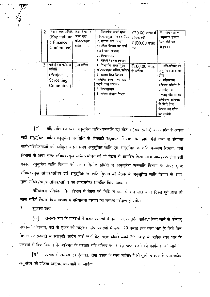| $\overline{2}$ . | वित्तीय व्यय समिति वित्त विभाग के<br>(Expenditur)<br>e Finance<br>Committee) | अपर मुख्य<br>र्साचव/प्रमुख<br>सचिव | 1. विभागीय अपर मुख्य<br>सचिव/प्रमुख सचिव/सचिव<br>2. सचिव वित्त विभाग<br>(संबंधित विभाग का काय<br>देखने वाले सचिव)<br>$3.$ विभागाध्यक्ष<br>4. सचिव योजना विभाग  | र्रे20.00 करोड़ से<br>अधिक एवं<br>$\bar{x}$ 100.00 करोड़<br>तक | विभागीय मंत्री के<br>अनुमोदन उपरांत<br>वित्त मंत्रो का<br>अनुमादन                                                                                                                             |
|------------------|------------------------------------------------------------------------------|------------------------------------|----------------------------------------------------------------------------------------------------------------------------------------------------------------|----------------------------------------------------------------|-----------------------------------------------------------------------------------------------------------------------------------------------------------------------------------------------|
| 3.               | परियोजना परीक्षण<br>समिति<br>(Project<br>Screening<br>Committee)             | मुख्य सचिव<br>$\ddotsc$            | । विभागीय अपर मुख्य<br>र्साचव/प्रमुख सचिव/सचिव <br>2. सांचव वित्त विभाग<br>(संवंधित विभाग का कायं<br>दखने वाले सचिव)<br>3. विभागाध्यक्ष<br>4. सचिव योजना विभाग | रै $100.00$ करोड़<br>से अधिक                                   | 1. मंत्रि-परिषद का<br>अनुमोदन आवश्यक<br>होगा।<br>2. परियोजना<br>परीक्षण समिति के<br>अनुमोदन कं<br>पश्चात् मंत्रि-परिषद<br>संक्षेपिका अभिमत<br>के लिये वित्त<br>विभाग को प्रेषित<br>को जायेगो। |

यदि राशि का व्यय अनुसूचित जाति/जनजाति उप योजना (सब स्कीम) के अंतर्गत है अथवा [द] जहाँ अनुसूचित जाति/अनुसूचित जनजाति के हितग्राही बहुतायत में लाभांवित होंगे, ऐसे व्यय से संबंधित कार्य/परियोजनाओं को स्वीकृत करते समय अनुसूचित जाति एवं अनुसूचित जनजाति कल्याण विभाग, दोनों विभागों के अपर मुख्य सचिव/प्रमुख सचिव/सचिव को भी बैठक में आमंत्रित किया जाना आवश्यक होगा।इसी प्रकार अनुसूचित जाति विभाग को सक्षम वित्तीय समिति में अनुसूचित जनजाति विभाग के अपर मुख्य सचिव/प्रमुख सचिव/सचिव एवं अनुसूचित जनजाति विभाग को बैठक में अनुसूचित जाति विभाग के अपर मुख्य सचिव/प्रमुख सचिव/सचिव को अनिवायंतः आमंत्रित किया जावेगा।

परियोजना प्रतिवेदन वित्त विभाग में बैठक की तिथि से कम से कम सात कार्य दिवस पूर्व प्राप्त हो जाना चाहिये जिससे वित्त विभाग में परियोजना प्रस्ताव का सम्यक परीक्षण हो सके।

 $5<sub>1</sub>$ राजस्व व्यय

राजस्व व्यय के प्रकरणों में बजट प्रस्तावों में नवीन मद अन्तर्गत शामिल किये जाने के पश्चात्  $\lceil 3 \rceil$ प्रशासकीय विभाग, पदों के सृजन को छोड़कर, शेष प्रकरणों में रूपये 20 करोड़ तक व्यय भार के लिये वित्त विभाग को सहमति से स्वीकृति आदेश जारी करने हेतु सक्षम होगा। रूपये 20 करोड़ से अधिक व्यय भार के प्रकरणों में वित्त विभाग के अभिमत के पश्चात मंत्रि परिषद का आदेश प्राप्त करने को कार्यवाही को जायेगी।

प्रस्ताव में राजस्व एवं पूंजीगत, दोनों प्रकार के व्यय शामिल है तो पूंजीगत व्यय के प्रशासकीय [ब] अनुमोदन को प्रक्रिया अनुसार कार्यवाही को जायेगी।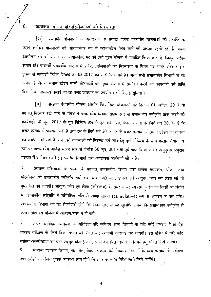# कार्यक्रम, योजनाओं/परियोजनाओं की निरन्तरता

6.

पंचवर्षीय योजनाओं की अवधारणा के अंतर्गत प्रत्यंक पंचवर्षाय योजनाओं की समाप्ति पर [अ] उसमें शामिल योजनाओं को आयोजनेतर मद में स्थानांतरित किये जाने की अपेक्षा रहती रही है अथवा आयोजना मद की योजना को आयोजनेतर मद को ऐसी मुख्य योजना मे समाहित किया जाता है, जिनका उद्देश्य समान हो। बारहवीं पंचवर्षीय योजना में शामिल योजनाओं की निरन्तरता के विषय पर भारत सरकार द्वारा पृथक से मार्गदर्शी निर्देश दिनांक 23.02.2017 को जारी किये गये हैं। अतः सभी प्रशासकीय विभागों से यह अपेक्षा है कि वे समान उद्देश्य वाली योजनाओं को मुख्य योजना में समाहित करने की कार्यवाही करें ताकि विभागों को उपलब्ध कराये जा रहे बजट प्रावधान का उपयोग करने में उन्हें सुविधा हो।

बारहवीं पंचवर्षीय योजना अंतर्गत क्रियान्वित योजनाओं को दिनांक 01 अप्रैल, 2017 के [ब] पश्चात् निरन्तर रखे जाने के संबंध में प्रशासकीय विभाग सक्षम् स्तर से प्रशासकोय स्वीकृति प्राप्त करने की कार्यवाही 30 जून, 2017 के पूर्व निश्चित रूप से पूर्ण करें। यदि किसी योजना के लिये वर्ष 2017-18 के बजट प्रस्ताव में प्रावधान नहीं है तथा इस के लिये वर्ष 2017-18 के बजट प्रस्तावों में समान उद्देश्य की योजना का प्रावधान भी नहीं है, तब ऐसी योजनाओं को निरन्तर रखे जाने हेतु पूर्ण औचित्य के साथ प्रस्ताव तैयार कर उस पर प्रशासकीय आदेश सक्षम स्तर से दिनांक 30 जून, 2017 के पूर्व प्राप्त किया जाकर अनुपूरक अनुदान प्रस्ताव में शामिल करने हेतु संबंधित विभागों द्वारा आवश्यक कार्यवाही को जाये।

उपरोक्त प्रक्रियाओं के पालन के पश्चात् प्रशासकीय विभाग द्वारा प्रत्येक कार्यक्रम, योजना तथा 7. परियोजना को प्रशासकीय स्वीकृति जारी कर उसको प्रति महालेखाकार एवं आयुक्त, कोष एवं लेखा को भी पृष्ठांकित को जायेगी। आयुक, कोष एवं लेखा (कोषालय) के सर्वर में यह व्यवस्था करेंगे कि किसी भी स्थिति में प्रशासकीय स्वीकृति में सम्मिलित राशि से ज्यादा संचित (cumulative) रूप से आहरण न कर सके। प्रशासकीय विभागों की यह जिम्मेदारी होगी कि अपने स्तर से यह सुनिश्चित करें कि प्रशासकीय स्वीकृति से ज्यादा राशि इस योजना में आहरण/व्यय न हो पाये।

8. ऊपर उल्लेखित व्यवस्था के अतिरिक्त यदि कतिपय अन्य विभागों के यदि कोई प्रकरण हैं तो ऐसे ' प्रकरण परीक्षण के लिये वित्त विभाग को प्रेषित कर आगामी कार्रवाई की जायेगी। इस संबंध में यदि कोई व्याख्या/स्पष्टीकरण का प्रश्न उद्भूत होता है तो उक्त प्रकरण वित्त विभाग के निर्णय हेतू प्रेषित किये जायेंगे।  $9<sub>1</sub>$ सामान्य प्रशासन विभाग, गृह, जेल, विधि, राजस्व जैसे नियामक विभागों के व्यय प्रस्तावों के परीक्षण तथा स्वीकृति के लिये पृथक व्यवस्था लागू होगी जिस पर पृथक से निर्देश जारी किये जायेंगें।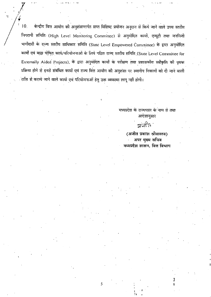$10<sub>1</sub>$ केन्द्रीय वित्त आयोग को अनुशंसान्तर्गत प्राप्त विशिष्ट प्रयोजन अनुदान से किये जाने वाले उच्च स्तरीय निगरानी समिति (High Level Monitoring Committee) से अनुमोदित कायों, एन्यूटी तथा जननिजी भागीदारी के राज्य स्तरीय साधिकार समिति (State Level Empowered Committee) के द्वारा अनुमोदित कार्यों एवं बाह्य पोषित कार्य/परियोजनाओं के लिये गठित राज्य स्तरीय समिति (State Level Committee for Externally Aided Projects), के द्वारा अनुमोदित कार्यों के परीक्षण तथा प्रशासकीय स्वीकृति की पृथक प्रक्रिया होने से इनसे संबंधित कार्यों एवं राज्य वित्त आयोग की अनुशंसा पर स्थानीय निकायों को दी जाने वाली राशि से कराये जाने वाले कार्यों एवं परियोजनाओं हेतु उक्त व्यवस्था लागू नहीं होगी।

5

मध्यप्रदेश के राज्यपाल के नाम से तथा आदेशानुसार

अंजीत

(अजीत प्रकाश श्रीवास्तव) अपर मुख्य सचिव मध्यप्रदेश शासन, वित्त विभाग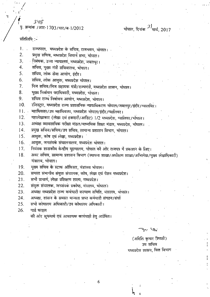348

पृ. क्रमांक /आर-1703/चार/ब-1/2012

## प्रतिलिपि :-

- राज्यपाल, मध्यप्रदेश के सचिव, राजभवन, भांपाल। 1.
- प्रमुख सचिव, मध्यप्रदेश विधान सभा, भोपाल। 2.
- ्निबंधक, उच्च न्यायालय, मध्यप्रदेश, जबलपुर। 3.
- सचिव, मुख्य मंत्री सचिवालय, भोपाल।  $\overline{4}$ .
- सचिव, लोक सेवा आयोग, इंदौर। 5.
- सचिव, लोक आयुक्त, मध्यप्रदेश भोपाल। 6.
- निज सचिव/निज सहायक मंत्री/राज्यमंत्री, मध्यप्रदेश शासन, भोपाल।  $7.$
- मुख्य निर्वाचन पदाधिकारी, मध्यप्रदेश, भोपाल। 8.
- संचिव राज्य निर्वाचन आयोग, मध्यप्रदेश, भोपाल। 9.
- रजिस्ट्रार, मध्यप्रदेश राज्य प्रशासनिक न्यायाधिकरण भोपाल/जबलपुर/इंदौर/ग्वालयिर।  $10.$
- महाधिवक्ता/उप महाधिवक्ता, मध्यप्रदेश भोपाल/इंदौर/ग्वालियर।  $11.$
- महालेखाकार (लेखा एवं हकदारी/आडिट) 1/2 मध्यप्रदेश, ग्वालियर/भोपाल।  $12.$
- $13.$ अध्यक्ष व्यावसायिक परीक्षा मंडल/माध्यमिक शिक्षा मंडल, मध्यप्रदेश, भोपाल।
- प्रमुख सचिव/सचिव/उप सचिव, सामान्य प्रशासन विभाग, भोपाल।  $14.$
- आयुक्त, कोष एवं लेखा, मध्यप्रदेश।  $15<sup>2</sup>$
- 16. आयुक्त, जनसंपर्क संचालनालय, मध्यप्रदेश भोपाल।
- नियंत्रक शासकीय केन्द्रीय मुद्रणालय, भोपाल की ओर राजपत्र में प्रकाशन के लिए। 17.
- $18.$ अवर सचिव, सामान्य प्रशासन विभाग (स्थापना शाखा/अधोक्षण शाखा/अभिलेख/मुख्य लेखाधिकारी) मंत्रालय, भोपाल।

6

- मूख्य सचिव के स्टाफ ऑफिसर, मंत्रालय भोपाल। 19.
- समस्त संभागीय संयुक्त संचालक, कोष, लेखा एवं पेंशन मध्यप्रदेश। 20.
- 21. सभी प्राचार्य, लेखा प्रशिक्षण शाला, मध्यप्रदेश।
- 22. संयुक्त संचालक, जनसंपकं प्रकोष्ठ, मंत्रालय, भोपाल।
- अध्यक्ष मध्यप्रदेश राज्य कर्मचारी कल्याण समिति, मंत्रालय, भोपाल। 23.
- 24. अध्यक्ष, शांसन के समस्त मान्यता प्राप्त कर्मचारी संगठन/संघों
- 25. सभी कोषालय अधिकारी/उप कोषालय अधिकारी।

26. गार्ड फाइल

की ओर सूचनार्थ एवं आवश्यक कार्यवाही हेतु अग्रेषित।

دی<del>گ</del>ا ، برای

## (अदिति कमार त्रिपाठी) उप सचिव मध्यप्रदेश शासन, वित्त विभाग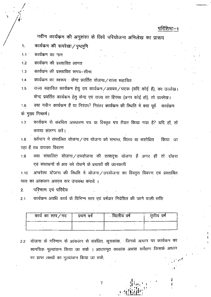परिशिष्ट—1

नवीन कार्यक्रम की अनुशंसा के लिये परियोजना अभिलेख का प्रारूप

कार्यकम की रूपरेखा / पृष्ठभूमि  $\mathbf{1}$ .

कार्यकम का नाम  $1.1$ 

- कार्यक्रम की प्रस्तावित लागत  $1.2$
- कार्यक्रम की प्रस्तावित समय-सीमा  $1.3$

कार्यक्रम का स्वरूप : केन्द्र प्रवर्तित योजना ⁄ राज्य सहायित  $1.4$ 

राज्य सहायित कार्यक्रम हेतु उप कार्यकम /अवयव /घटक (यदि कोई हैं), का उल्लेख।  $1.5$ केन्द्र प्रवर्तित कार्यकम हेतु केन्द्र एवं राज्य का हिस्सा (अगर कोई हो), तो उल्लेख।

क्या नवीन कार्यक्रम हैं या निरंतर? निरंतर कार्यक्रम की स्थिति में क्या पूर्व कार्यक्रम 1.6 के मुख्य निष्कर्ष।

कार्यक्रम से संबंधित अवधारण पत्र या विस्तृत पत्र तैयार किया गया है? यदि हाँ, तो  $1.7$ कपया संलग्न करें।

वर्तमान में संचालित योजना/उप योजना को समाप्त, विलय या संशोधित  $1.8$ किया जा रहा हैं तब उसका विवरण

क्या संचालित योजना/उपयोजना की तत्सदृश योजना हैं अगर हॉ तो दोहरा 1.9 एवं संसाधनों के क्षय को रोकने के प्रयासों की जानकारी

अम्बरेला योजना की स्थिति में योजना/उपयोजना का विस्तृत विवरण एवं प्रस्तावित 1.10 व्यय का आंकलन अवयव वार उपलब्ध करावें ।

परिणाम एवं परिदेय  $2.$ 

कार्यक्रम अवधि कार्य के विभिन्न रत्तर एवं वर्षवार निवेशित की जाने वाली राशि  $2.1$ 

| कार्य का स्तर ⁄ मद | प्रथम वर्ष | व्दितीय वर्ष | ततीय वर्षे |
|--------------------|------------|--------------|------------|
|                    |            |              |            |

योजना के परिणाम के आंकलन से संबंधित, सूचकांक, जिनके आधार पर कार्यकम का  $2.2$ सामयिक मूल्यांकन किया जा सकें । आधारभूत तथ्यांक अथवा सर्वेक्षण जिसके आधार पर प्राप्त लक्ष्यों का मूल्यांकन किया जा सके;

7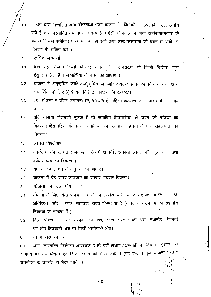$2.3$ शासन द्वारा संचालित अन्य योजनाओं / उप योजनाओं, जिनकी उपलब्धि उल्लेखनीय रही है तथा प्रस्तावित योजना के समस्य हैं । ऐसी योजनाओं के मध्य सहकियात्मकता के प्रयास जिससे समेकित परिणाम प्राप्त हो सकें तथा लोक संसाधनों की बचत हो सके का ंविवरण भी अंकित करें ।

लक्षित लामार्थी  $3.$ 

- क्या यह योजना किसी विशिष्ट रथान, क्षेत्र, जनसंख्या के किसी विशिष्ट भाग  $3.1$ हेतु संचालित है । लाभार्थियों के चयन का आधार ।
- योजना में अनुसूचित जाति/अनुसूचित जनजाति/अत्पसंख्यक एवं दिव्यांग तथा अन्य  $3.2$ लाभार्थियों के लिए किये गये विशिष्ट प्रावधान का उल्लेख।
- क्या योजना में जेंडर समानता हेतू प्रावधान हैं, महिला कल्याण के  $3.3$ प्रावधानों का उल्लेख। स
- यदि योजना हितग्राही मूलक हैं तो संभावित हितग्राहियों के चयन की प्रकिया का  $3.4$ विवरण । हितग्राहियों के चयन की प्रक्रिया को "आधार" पहचान के साथ सहलग्नता का विवरण ।

लागत विश्लेशण 4.

- क़ार्यक्रम की लागत प्राक्कलन जिसमें आवर्ती / अनवर्ती लागत की कूल राशि तथा  $4.1$ वर्षवार व्यय का विवरण ।
- योजनां की लागत के अनुमान का आधार। 4.2

योजना में देय राज्य सहायता का वर्षवार, मदवार विवरण।  $4.3$ 

- योजना का वित्त पोषण 5
- योजना के लिए वित्त पोषण के स्रोतों का उल्लेख करें : बजट सहायता, बजट के  $5.1$ अतिरिक्त स्रोत बाहय सहातया, राज्य हिस्सा आदि (सार्वजनिक उपकृम एवं स्थानीय निकायों के मामलों में )
- वित्त पोषण में भारत सरकार का अंश, राज्य सरकार का अंश, स्थानीय निकायों 5.2 का अंश हितग्राही अंश या निजी भागीदारी अंश।

मानव संसाधन  $6.$ 

अगर जनशक्ति नियोजन आवश्यक है तो पदों (स्थाई / अस्थाई) का विवरण पृथक से  $6.1$ सामान्य प्रशासन विभाग एवं वित्त विभाग को भेजा जावे । (यह प्रस्ताव मूल योजना प्रस्ताव अनुमोदन के उपरांत ही भेजा जावे ।)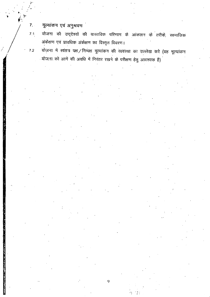मूल्यांकन एवं अनुश्रवण  $7.$ 

 $7.1$ 

योजना की उद्देश्यों की वास्तविक परिणाम के आंकलन के तरीके, सामाजिक अंकेक्षण एवं प्रावधिक अंकेक्षण का विस्तृत विवरण।

योजना में स्वंतत्र पक्ष /निष्पक्ष मूल्यांकन की व्यवस्था का उल्लेख करे (यह मूल्यांकन  $7.2$ योजना को आगे की अवधि में निरंतर रखने के परीक्षण हेतु आवश्यक है)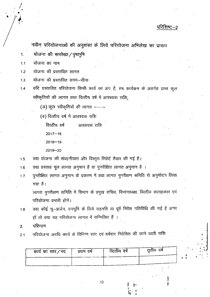नवीन परियोजनाओं की अनुशंसा के लिये परियोजना अभिलेख का प्रारूप

योजना की रूपरेखा/पृष्ठभूमि  $\ddagger$ 

योजनां का नाम  $1.1$ 

- योजना की प्रस्तावित लागत  $1.2$
- योजना की प्रस्तावित समय-सीमा  $1.3$
- यदि प्रस्तावित परियोजना किसी कार्य का अंग है, तब कार्यकम के अंतर्गत प्राप्त कुल  $-1.4$ स्वीकृतियों की लागत तथा वित्तीय वर्ष में आवश्यक राशि;

(अ) कुल स्वीकृतियों की लागत -

(ब) वित्तीय वर्ष में आवश्यक राशि

वित्तीय वर्ष आवश्यक राशि

 $2017 - 18$ 

 $2018 - 19$ 

 $2019 - 20$ 

क्या योजना की संवहनीयता और विस्तृत रिपोर्ट तैयार की गई है।  $1.5$ 

क्या प्रस्ताव मूल लागत अनुमान हैं या पुनरीक्षित लागत अनुमान है ।  $1.6$ 

पुनरीक्षित लागत अनुमान के प्रकरण में क्या लागत पुनरीक्षण समिति से अनुमोदन लिया  $1.7$ गया है।

.<br>लागत पुनरीक्षण समिति में विभाग के प्रमुख सचिव, विभागाध्यक्ष, वित्तीय सलाहकार एवं परियोजना प्रभारी होंगें।

क्या कोई भू-अर्जन, वनभूमि के लिये सहमति या पूर्व निवेश गतिविधि की गई है अगर  $1.8$ हाँ तो क्या यह परियोजना लागत में सम्मिलित हैं ।

परिणाम  $2.$ 

परियोजना अवधि कार्य के विभिन्न स्तर एवं वर्षवार निवेशित की जाने वाली राशि  $2.1$ 

| कार्य का स्तर/मद | प्रथम वर्षे | व्दितीय वर्षे | ततीय वर्ष |
|------------------|-------------|---------------|-----------|
|                  |             |               |           |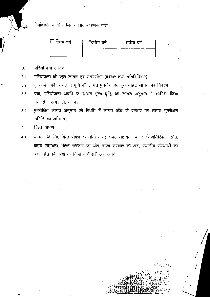निर्माणाधीन कार्यों के लिये वर्षवार आवश्यक राशि

| प्रथम वर्ष | व्दितीय वर्ष | ततीय वर्ष |
|------------|--------------|-----------|
|            |              |           |

#### परियोजना लागत  $3.$

परियोजना की कूल लागत एवं समयसीमा (वर्षवार तथा गतिविधिवार)  $3.1$ 

- भू-अर्जन की रिथति में भूमि की लागत पुनर्वास एवं पुनर्वसाहट लागत का विवरण  $3.2$
- क्या, परियोजना अवधि के दौरान मूल्य वृद्धि को लागत अनुमान में शामिल किया  $3.3$ गया है । अगर हॉ, तो दर।

पुनरीक्षित लागत अनुमान की स्थिति में लागत वृद्धि के प्रस्ताव पर लागत पुनरीक्षण  $3.4$ समिति का अभिमत।

वित्त पोषण  $\overline{4}$ .

योजना के लिए वित्त पोषण के स्रोतों यथा; बजट सहायता, बजट के अतिरिक्त स्रोत,  $4.1$ बाहय सहायता, भारत सरकार का अंश, राज्य सरकार का अंश, स्थानीय संस्थाओं का अंश, हितग्राही अंश या निजी भागीदारी अंश आदि।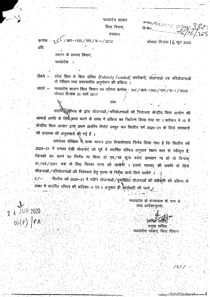मध्यप्रदेश शासन वित्त विभाग, मुंत्रालय

कर्णाक/पी.ए./२९९%  $2.5$  Gem  $\times$ 

भोपाल दिनांक |  $6$  जून 2020

 $-1$   $\leq$   $\frac{5}{4}$  /  $\frac{3}{4}$  /  $\frac{3}{4}$  /  $\frac{2012}{4}$  /  $\frac{2012}{4}$ कनॉक :-प्रति,

शासन के समस्त विभाग

मध्यप्रदेश

लॉक वित्त से वित्त पोषित (Publicly Funded) कार्यकर्मो, योजनाओं एवं परियोजनाओं ∙विषय -के परीक्षण तथा प्रशासकीय अनुमोदन की प्रकिया ।

मध्यप्रदेश शासन वित्त विभाग का परिपत्र कमॉक : 347/आर-1703/चार/ब-1/2012 भोपाल दिनांक 31 मार्च 2017

 $000$ 

सदर्भिर्दैदैर्गरिपत्र के द्वारा योजनाओं/परियोजनाओं की निरंतरता केन्द्रीय वित्त आयोग की आवार्ड अवधि के लिये प्राप्त करने के संबंध में प्रकिया का निर्धारण किया गया था । वर्तमान में 15 वें केन्द्रीय वित्त आयोग द्वास प्रथम अंतरिम रिपोर्ट प्रस्तुत कर वित्तीय वर्ष 2020–21 के लिये संसाधनों की उपलब्ध की अनुशंसायें की गई हैं ।

उपरोक्त परिप्रेक्ष्य में राज्य शासन द्वारा विचारोपरात निर्णय लिया गया है कि वित्तीय वर्ष 2020-21 में समस्त ऐसी योजनाएं जो पूर्व में संदर्भित परिपत्र अनुसार सक्षम स्तर से स्वीकृत है, जिनको बंद करने का निर्णय ना किया हो एवं⁄या शून्य बजट प्राक्धान ना हो वो दिनांक 31/03/2021 तक के लिए निरंतर मान्य की जायेंगी । इसके पश्चात् की अवधि के लियें योजनाओं / परियोजनाओं की निरंतरता हेतु पृथक से निर्देश जारी किये जायेंगे ।

वित्तीय वर्ष 2020—21 में नवीन योजनाओं / पुनरीक्षित योजनाओं की स्वीकृति की प्रक्रिया के संबंध में सदर्भित परिपत्र की कड़िका-4 एवं 5 अनुसार ही कार्यवाही की जाये ।

> मध्यप्रदेश के राज्यपाल के नाम से तथा आदेशानुसार

⊶ٌم (अंभित रारे प्रमुख सचिव, मध्यप्रदेश शांसन, वित्त विभाग

 $\frac{1}{2}$ / $\frac{1}{4}$ 

<u>ڵڗٙ؞؞ڿڂۄڂڮڂڮڿڮڮ</u>

المدافعة

 $24$  JUN 2020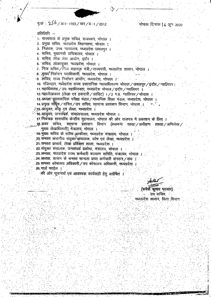भोपाल दिनांक 16 जून 2020

प.क<sup>:</sup> : 256 / आर--1703 / चार / ब--1 / 2012

प्रतिलिपि $:=$ 

1. राज्यपालं के प्रमुख सचिवं, राजभवनं, भोपाल ।

2. प्रमुख सचिव, मध्यप्रदेश विधानसभा, भोपाल ।

3. निबंधक, उच्च न्यायालय, मध्यप्रदेश जवलपुर ।

4. सचिव, मुख्यमंत्री सचिवालय, भोपाल ।

5. सचिव लोक सेवा आयोग, इंदौर ।

6. सचिव, लोकायुक्त, मध्यप्रदेश, भोपाल ।

7. निज सचिवं / निज सहायक मंत्री / राज्यमंत्री, मध्यप्रदेश शासन, भोपाल ।

8. मुख्य निर्वाचन पदाधिकारी, मध्यप्रदेश, भोपाल ।

9. सचिव, राज्य निर्वाचन आयोग, मध्यप्रदेश, भोपाल ।

10. रजिस्दार, मध्यप्रदेश राज्य प्रशासनिक न्यायाधिकरण भोपाल/जबलपुर/इंदौर/ग्वालियर।

11. महाधिवक्ता / उप. महाधिवक्ता, मध्यप्रदेश भोपाल / इंदौर / ग्वालियर ।

12 महालेखाकार (लेखा एवं हकदारी / आडिट) 1 / 2 म.प्र. ग्वालियर / भोपाल ।

13.अध्यक्ष स्नावसायिक परीक्षा मंडल/माध्यमिक शिक्षा मंडल, मध्यप्रदेश, भोपाल

14.प्रमुख संसिद्धि / सचिव/उप सचिव, सामान्य प्रशासन विभाग, भोपाल । ्रा5 आयुक्त, कोष एवं लेखा, मध्यप्रदेश ।

ी6.आयुक्त, जनसंबर्क, संचालनालय, मध्यप्रदेश भोपाल म

17. नियंत्रक शासकीय केन्द्रीय मुद्रणालय, भोपाल की ओर राजपत्र में प्रकाशन के लिए । .18.अवर सचिव, सामान्य प्रशासन विभाग (स्थापना शाखा अधीक्षण ्शाखा / अभिलेख , .मुख्य लेखाधिकारी) मंत्रालय, भोपाल ।

१९ पुख्य सचिव के स्टॉफ आफीसर, मध्यप्रदेश मंत्रालय, भोपाल ।

20 समस्त संभागीय संयुक्त\संचालक, कोष एवं लेखा, मध्यप्रदेश

21. समस्त प्राचार्य, लेखा प्रशिक्षण शाला, मध्यप्रदेश ।

22 संयुक्त संचालक, जनसंपर्क प्रकोष्ठ, मंत्रालय, भोपाल ।

23.अध्यक्ष, मध्यप्रदेश राज्य कर्मचारी कल्याण समिति, मंत्रालय, भोपाल ।

24.अध्यक्ष, शासन के समस्त मान्यता प्राप्त कर्मचारी संगठन/संघ ।

25 समस्त कोषालय अधिकारी/उप कोषालय अधिकारी, मध्यप्रदेश ।

26.गार्ड फाईल ।

की ओर सूचनार्थ एवं आवश्यक कार्यवाही हेतु अग्रेषित

(रूपेशे कुमार पठवार) । उप सचिव मध्यप्रदेश शासन, वित्त विभाग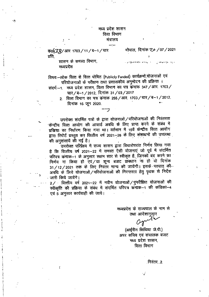## मध्य प्रदेश शासन वित्त विभाग मंत्रालय

 $-:-$ 

 $\frac{1}{400}$   $\frac{1}{2}$   $\frac{1}{2}$   $\frac{1}{2}$   $\frac{1}{2}$   $\frac{1}{2}$   $\frac{1}{2}$   $\frac{1}{2}$   $\frac{1}{2}$   $\frac{1}{2}$   $\frac{1}{2}$   $\frac{1}{2}$   $\frac{1}{2}$   $\frac{1}{2}$   $\frac{1}{2}$   $\frac{1}{2}$   $\frac{1}{2}$   $\frac{1}{2}$   $\frac{1}{2}$   $\frac{1}{2}$   $\frac{1}{2}$   $\frac{1}{2}$ प्रति.

> शासन के समस्त विभाग, मध्यप्रदेश

विषयः-लोक वित्त से वित्त पोषित (Publicly Funded) कार्यक्रमों योजनाओं एवं परियोजनाओं के परीक्षण तथा प्रशासकीय अनुमोदन की प्रक्रिया ।

संदर्भ -1. मध्य प्रदेश शासन, वित्त विभाग का पत्र कंमाक 347 / आर. 1703 / चार/ब-1/2012, दिनांक 31/03/2017

2. वित्त विभाग का पत्र कमाक 255/आर. 1703/चार/ब-1/2012. दिनांक 16 जून 2020.

उपरोक्त संदर्भित पत्रों के द्वारा योजनाओं / परियोजनाओं की निरंतरता केन्द्रीय वित्त आयोग की आवार्ड अवधि के लिए प्राप्त करने के संबंध में प्रकिया का निर्धारण किया गया था। वर्तमान में 15वें केन्द्रीय वित्त आयोग द्वारा रिपोर्ट प्रस्तुत कर वित्तीय वर्ष 2021-26 के लिए संसाधनों की उपलब्ध की अनुशंसायें की गई है।

.<br>उपरोक्त परिप्रेक्ष्य में राज्य शासन द्वारा विचारोपरांत निर्णय लिया गया है कि वित्तीय वर्ष 2021–22 में समस्त ऐसी योजनाएं जो पूर्व में संदर्भित परिपत्र कमाक-1 के अनुसार सक्षम स्तर से स्वीकृत है, जिनको बद करने का निर्णय ना किया हो एवं/या शून्य बजट प्रावधान ना हो वो दिनोंक 31/12/2021 तक के लिए निरंतर मान्य की जायेंगी। इसके पश्चात् की-अवधि के लिये योजनाओं / परियोजनाओं की निरन्तरता हेतु पृथक से निर्देश जारी किये जायेंगे।

2/ वित्तीय वर्ष 2021–22 में नवीन योजनाओं/पुनरीक्षित योजनाओं की स्वीकृति की प्रक्रिया के संबंध में संदर्भित परिपत्र कमाक–1 की कडिका–4 एवं 5 अनुसार कार्यवाही की जाये।

> मध्यप्रदेश के राज्यपाल के नाम से तथा आदेशानुसार

गोपाल, दिनांक 20 / 07 / 2021

(आईरीन सिंथिया जे.पी.) अपर सचिव एवं संचालक बजट मध्य प्रदेश शासन, वित्त विभाग

.निरंतर...2.

لا -